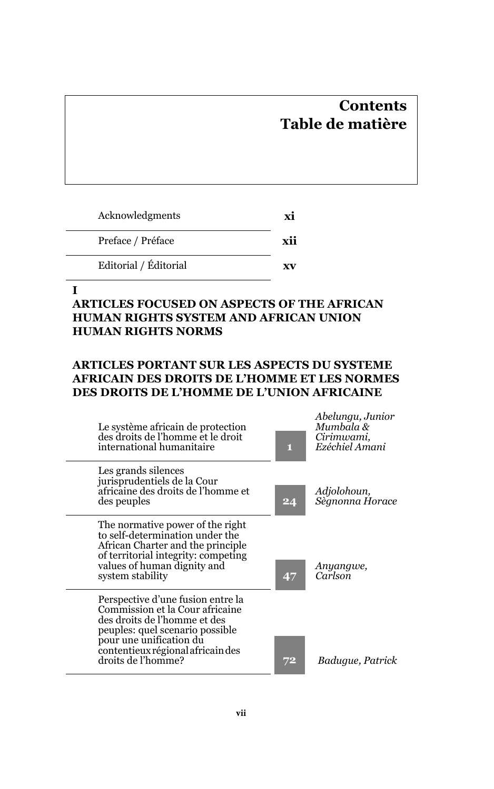# **Contents Table de matière**

| Acknowledgments       | Y1 |
|-----------------------|----|
| Preface / Préface     |    |
| Editorial / Éditorial | xv |

#### **I**

# **ARTICLES FOCUSED ON ASPECTS OF THE AFRICAN HUMAN RIGHTS SYSTEM AND AFRICAN UNION HUMAN RIGHTS NORMS**

# **ARTICLES PORTANT SUR LES ASPECTS DU SYSTEME AFRICAIN DES DROITS DE L'HOMME ET LES NORMES DES DROITS DE L'HOMME DE L'UNION AFRICAINE**

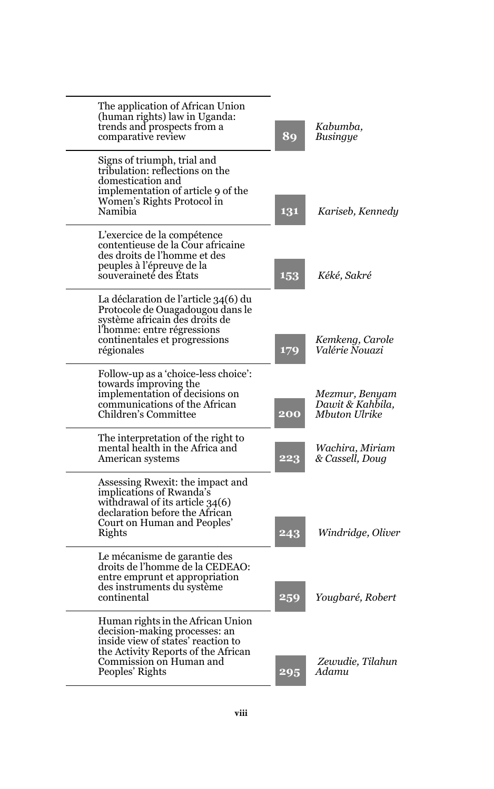| The application of African Union<br>(human rights) law in Uganda:<br>trends and prospects from a<br>comparative review                                                                        | 89  | Kabumba,<br>Busingye                                |
|-----------------------------------------------------------------------------------------------------------------------------------------------------------------------------------------------|-----|-----------------------------------------------------|
| Signs of triumph, trial and<br>tribulation: reflections on the<br>domestication and<br>implementation of article 9 of the<br>Women's Rights Protocol in<br>Namibia                            | 131 | Kariseb, Kennedy                                    |
| L'exercice de la compétence<br>contentieuse de la Cour africaine<br>des droits de l'homme et des<br>peuples à l'épreuve de la<br>souveraineté des Etats                                       | 153 | Kéké, Sakré                                         |
| La déclaration de l'article 34(6) du<br>Protocole de Ouagadougou dans le<br>système africain des droits de<br>l'homme: entre régressions<br>continentales et progressions<br>régionales       | 179 | Kemkeng, Carole<br>Valérie Nouazi                   |
| Follow-up as a 'choice-less choice':<br>towards improving the<br>implementation of decisions on<br>communications of the African<br>Children's Committee                                      | 200 | Mezmur, Benyam<br>Dawit & Kahbila,<br>Mbuton Ulrike |
| The interpretation of the right to<br>mental health in the Africa and<br>American systems                                                                                                     | 223 | Wachira, Miriam<br>& Cassell, Doug                  |
| Assessing Rwexit: the impact and<br>implications of Rwanda's<br>withdrawal of its article 34(6)<br>declaration before the African<br>Court on Human and Peoples'<br>Rights                    | 243 | Windridge, Oliver                                   |
| Le mécanisme de garantie des<br>droits de l'homme de la CEDEAO:<br>entre emprunt et appropriation<br>des instruments du système<br>continental                                                | 259 | Yougbaré, Robert                                    |
| Human rights in the African Union<br>decision-making processes: an<br>inside view of states' reaction to<br>the Activity Reports of the African<br>Commission on Human and<br>Peoples' Rights | 295 | Zewudie. Tilahun<br>Adamu                           |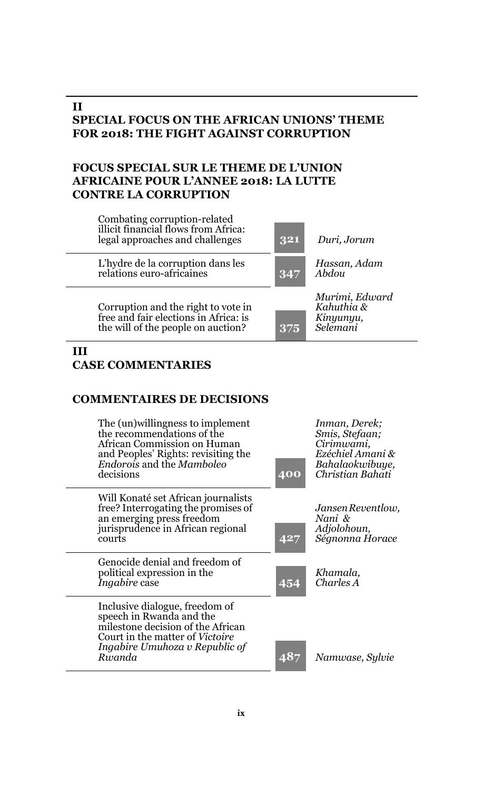### **II SPECIAL FOCUS ON THE AFRICAN UNIONS' THEME FOR 2018: THE FIGHT AGAINST CORRUPTION**

# **FOCUS SPECIAL SUR LE THEME DE L'UNION AFRICAINE POUR L'ANNEE 2018: LA LUTTE CONTRE LA CORRUPTION**

| Combating corruption-related<br>illicit financial flows from Africa:<br>legal approaches and challenges            | 321 | Duri, Jorum                                           |
|--------------------------------------------------------------------------------------------------------------------|-----|-------------------------------------------------------|
| L'hydre de la corruption dans les<br>relations euro-africaines                                                     | 347 | Hassan, Adam<br>Abdou                                 |
| Corruption and the right to vote in<br>free and fair elections in Africa: is<br>the will of the people on auction? | 375 | Murimi, Edward<br>Kahuthia &<br>Kinyunyu,<br>Selemani |
|                                                                                                                    |     |                                                       |

#### **III CASE COMMENTARIES**

## **COMMENTAIRES DE DECISIONS**

| The (un) willingness to implement<br>the recommendations of the<br>African Commission on Human<br>and Peoples' Rights: revisiting the<br>Endorois and the Mamboleo<br>decisions       | 400 | Inman, Derek:<br>Smis, Stefaan;<br>Cirimwami,<br>Ezéchiel Amani &<br>Bahalaokwibuye,<br>Christian Bahati |
|---------------------------------------------------------------------------------------------------------------------------------------------------------------------------------------|-----|----------------------------------------------------------------------------------------------------------|
| Will Konaté set African journalists<br>free? Interrogating the promises of<br>an emerging press freedom<br>jurisprudence in African regional<br>courts                                | 427 | Jansen Reventlow.<br>Nani &<br>Adjolohoun,<br>Ségnonna Horace                                            |
| Genocide denial and freedom of<br>political expression in the<br><i>Ingabire</i> case                                                                                                 | 454 | Khamala.<br>Charles A                                                                                    |
| Inclusive dialogue, freedom of<br>speech in Rwanda and the<br>milestone decision of the African<br>Court in the matter of <i>Victoire</i><br>Ingabire Umuhoza v Republic of<br>Rwanda | 487 | Namwase, Sylvie                                                                                          |